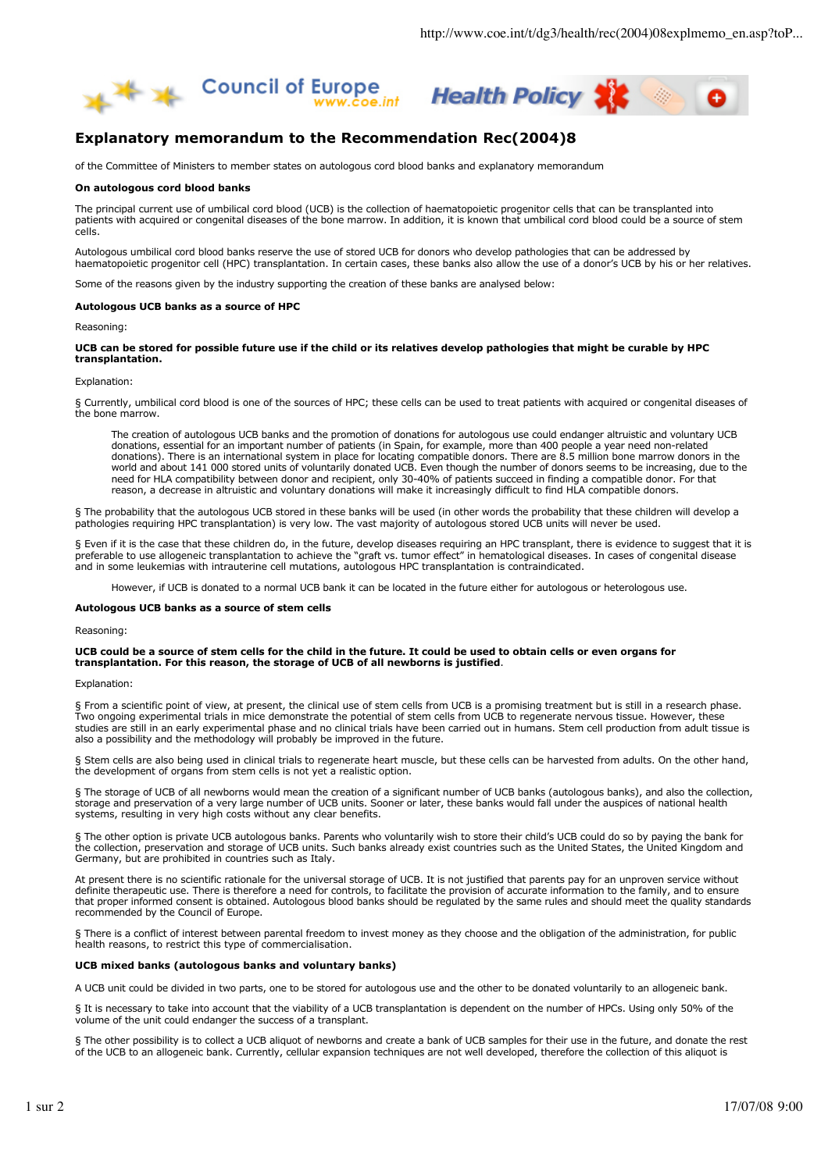



# **Explanatory memorandum to the Recommendation Rec(2004)8**

of the Committee of Ministers to member states on autologous cord blood banks and explanatory memorandum

# **On autologous cord blood banks**

The principal current use of umbilical cord blood (UCB) is the collection of haematopoietic progenitor cells that can be transplanted into patients with acquired or congenital diseases of the bone marrow. In addition, it is known that umbilical cord blood could be a source of stem cells.

Autologous umbilical cord blood banks reserve the use of stored UCB for donors who develop pathologies that can be addressed by haematopoietic progenitor cell (HPC) transplantation. In certain cases, these banks also allow the use of a donor's UCB by his or her relatives.

Some of the reasons given by the industry supporting the creation of these banks are analysed below:

## **Autologous UCB banks as a source of HPC**

Reasoning:

# **UCB can be stored for possible future use if the child or its relatives develop pathologies that might be curable by HPC transplantation.**

#### Explanation:

§ Currently, umbilical cord blood is one of the sources of HPC; these cells can be used to treat patients with acquired or congenital diseases of the bone marrow.

The creation of autologous UCB banks and the promotion of donations for autologous use could endanger altruistic and voluntary UCB donations, essential for an important number of patients (in Spain, for example, more than 400 people a year need non-related donations). There is an international system in place for locating compatible donors. There are 8.5 million bone marrow donors in the world and about 141 000 stored units of voluntarily donated UCB. Even though the number of donors seems to be increasing, due to the need for HLA compatibility between donor and recipient, only 30-40% of patients succeed in finding a compatible donor. For that reason, a decrease in altruistic and voluntary donations will make it increasingly difficult to find HLA compatible donors.

§ The probability that the autologous UCB stored in these banks will be used (in other words the probability that these children will develop a pathologies requiring HPC transplantation) is very low. The vast majority of autologous stored UCB units will never be used.

§ Even if it is the case that these children do, in the future, develop diseases requiring an HPC transplant, there is evidence to suggest that it is preferable to use allogeneic transplantation to achieve the "graft vs. tumor effect" in hematological diseases. In cases of congenital disease and in some leukemias with intrauterine cell mutations, autologous HPC transplantation is contraindicated.

However, if UCB is donated to a normal UCB bank it can be located in the future either for autologous or heterologous use.

## **Autologous UCB banks as a source of stem cells**

Reasoning:

# **UCB could be a source of stem cells for the child in the future. It could be used to obtain cells or even organs for transplantation. For this reason, the storage of UCB of all newborns is justified**.

## Explanation:

§ From a scientific point of view, at present, the clinical use of stem cells from UCB is a promising treatment but is still in a research phase. Two ongoing experimental trials in mice demonstrate the potential of stem cells from UCB to regenerate nervous tissue. However, these studies are still in an early experimental phase and no clinical trials have been carried out in humans. Stem cell production from adult tissue is also a possibility and the methodology will probably be improved in the future.

§ Stem cells are also being used in clinical trials to regenerate heart muscle, but these cells can be harvested from adults. On the other hand, the development of organs from stem cells is not yet a realistic option.

§ The storage of UCB of all newborns would mean the creation of a significant number of UCB banks (autologous banks), and also the collection, storage and preservation of a very large number of UCB units. Sooner or later, these banks would fall under the auspices of national health systems, resulting in very high costs without any clear benefits.

§ The other option is private UCB autologous banks. Parents who voluntarily wish to store their child's UCB could do so by paying the bank for the collection, preservation and storage of UCB units. Such banks already exist countries such as the United States, the United Kingdom and Germany, but are prohibited in countries such as Italy.

At present there is no scientific rationale for the universal storage of UCB. It is not justified that parents pay for an unproven service without definite therapeutic use. There is therefore a need for controls, to facilitate the provision of accurate information to the family, and to ensure that proper informed consent is obtained. Autologous blood banks should be regulated by the same rules and should meet the quality standards recommended by the Council of Europe.

§ There is a conflict of interest between parental freedom to invest money as they choose and the obligation of the administration, for public health reasons, to restrict this type of commercialisation.

### **UCB mixed banks (autologous banks and voluntary banks)**

A UCB unit could be divided in two parts, one to be stored for autologous use and the other to be donated voluntarily to an allogeneic bank.

§ It is necessary to take into account that the viability of a UCB transplantation is dependent on the number of HPCs. Using only 50% of the volume of the unit could endanger the success of a transplant.

§ The other possibility is to collect a UCB aliquot of newborns and create a bank of UCB samples for their use in the future, and donate the rest of the UCB to an allogeneic bank. Currently, cellular expansion techniques are not well developed, therefore the collection of this aliquot is